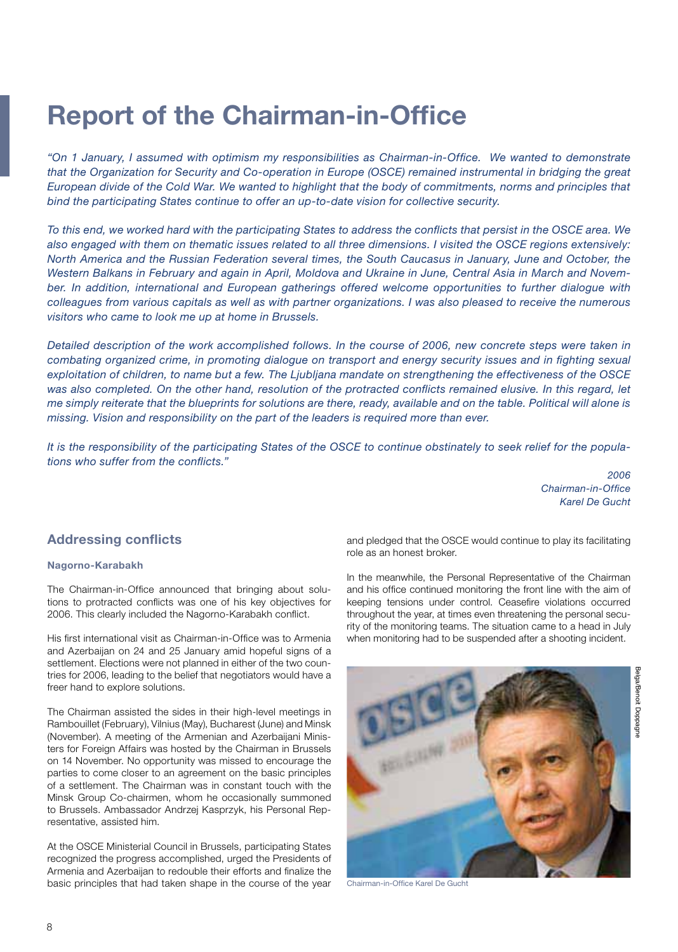# **Report of the Chairman-in-Office**

*"On 1 January, I assumed with optimism my responsibilities as Chairman-in-Office. We wanted to demonstrate that the Organization for Security and Co-operation in Europe (OSCE) remained instrumental in bridging the great European divide of the Cold War. We wanted to highlight that the body of commitments, norms and principles that bind the participating States continue to offer an up-to-date vision for collective security.*

*To this end, we worked hard with the participating States to address the conflicts that persist in the OSCE area. We also engaged with them on thematic issues related to all three dimensions. I visited the OSCE regions extensively: North America and the Russian Federation several times, the South Caucasus in January, June and October, the Western Balkans in February and again in April, Moldova and Ukraine in June, Central Asia in March and Novem*ber. In addition, international and European gatherings offered welcome opportunities to further dialogue with *colleagues from various capitals as well as with partner organizations. I was also pleased to receive the numerous visitors who came to look me up at home in Brussels.*

*Detailed description of the work accomplished follows. In the course of 2006, new concrete steps were taken in combating organized crime, in promoting dialogue on transport and energy security issues and in fighting sexual exploitation of children, to name but a few. The Ljubljana mandate on strengthening the effectiveness of the OSCE*  was also completed. On the other hand, resolution of the protracted conflicts remained elusive. In this regard, let *me simply reiterate that the blueprints for solutions are there, ready, available and on the table. Political will alone is missing. Vision and responsibility on the part of the leaders is required more than ever.*

*It is the responsibility of the participating States of the OSCE to continue obstinately to seek relief for the populations who suffer from the conflicts."* 

> *2006 Chairman-in-Office Karel De Gucht*

### **Addressing conflicts**

#### **Nagorno-Karabakh**

The Chairman-in-Office announced that bringing about solutions to protracted conflicts was one of his key objectives for 2006. This clearly included the Nagorno-Karabakh conflict.

His first international visit as Chairman-in-Office was to Armenia and Azerbaijan on 24 and 25 January amid hopeful signs of a settlement. Elections were not planned in either of the two countries for 2006, leading to the belief that negotiators would have a freer hand to explore solutions.

The Chairman assisted the sides in their high-level meetings in Rambouillet (February), Vilnius (May), Bucharest (June) and Minsk (November). A meeting of the Armenian and Azerbaijani Ministers for Foreign Affairs was hosted by the Chairman in Brussels on 14 November. No opportunity was missed to encourage the parties to come closer to an agreement on the basic principles of a settlement. The Chairman was in constant touch with the Minsk Group Co-chairmen, whom he occasionally summoned to Brussels. Ambassador Andrzej Kasprzyk, his Personal Representative, assisted him.

At the OSCE Ministerial Council in Brussels, participating States recognized the progress accomplished, urged the Presidents of Armenia and Azerbaijan to redouble their efforts and finalize the basic principles that had taken shape in the course of the year and pledged that the OSCE would continue to play its facilitating role as an honest broker.

In the meanwhile, the Personal Representative of the Chairman and his office continued monitoring the front line with the aim of keeping tensions under control. Ceasefire violations occurred throughout the year, at times even threatening the personal security of the monitoring teams. The situation came to a head in July when monitoring had to be suspended after a shooting incident.



Chairman-in-Office Karel De Gucht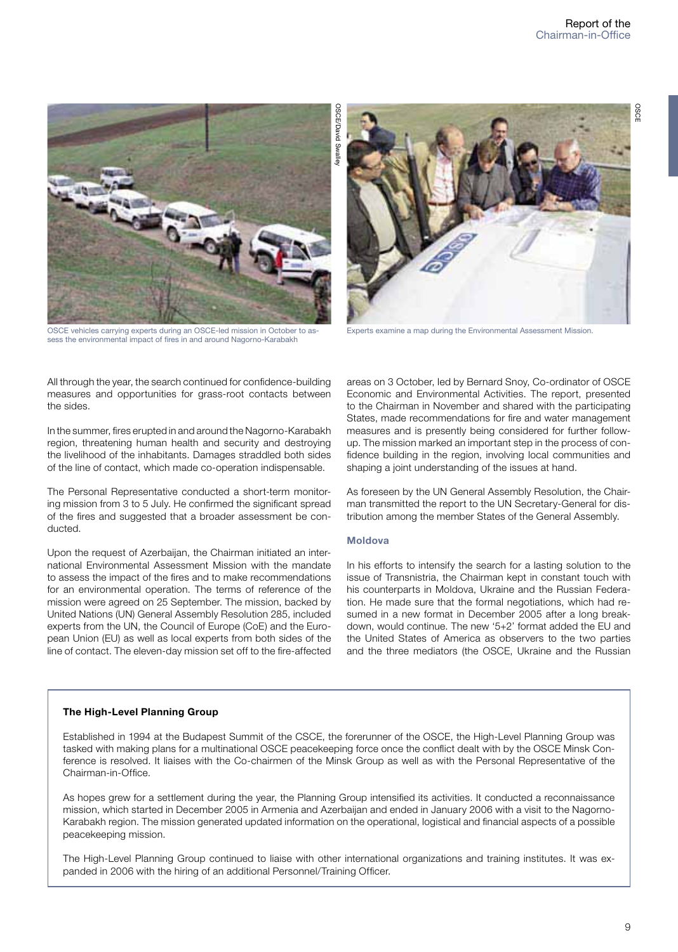

OSCE vehicles carrying experts during an OSCE-led mission in October to assess the environmental impact of fires in and around Nagorno-Karabakh

All through the year, the search continued for confidence-building measures and opportunities for grass-root contacts between the sides.

In the summer, fires erupted in and around the Nagorno-Karabakh region, threatening human health and security and destroying the livelihood of the inhabitants. Damages straddled both sides of the line of contact, which made co-operation indispensable.

The Personal Representative conducted a short-term monitoring mission from 3 to 5 July. He confirmed the significant spread of the fires and suggested that a broader assessment be conducted.

Upon the request of Azerbaijan, the Chairman initiated an international Environmental Assessment Mission with the mandate to assess the impact of the fires and to make recommendations for an environmental operation. The terms of reference of the mission were agreed on 25 September. The mission, backed by United Nations (UN) General Assembly Resolution 285, included experts from the UN, the Council of Europe (CoE) and the European Union (EU) as well as local experts from both sides of the line of contact. The eleven-day mission set off to the fire-affected



Experts examine a map during the Environmental Assessment Mission.

areas on 3 October, led by Bernard Snoy, Co-ordinator of OSCE Economic and Environmental Activities. The report, presented to the Chairman in November and shared with the participating States, made recommendations for fire and water management measures and is presently being considered for further followup. The mission marked an important step in the process of confidence building in the region, involving local communities and shaping a joint understanding of the issues at hand.

As foreseen by the UN General Assembly Resolution, the Chairman transmitted the report to the UN Secretary-General for distribution among the member States of the General Assembly.

#### **Moldova**

In his efforts to intensify the search for a lasting solution to the issue of Transnistria, the Chairman kept in constant touch with his counterparts in Moldova, Ukraine and the Russian Federation. He made sure that the formal negotiations, which had resumed in a new format in December 2005 after a long breakdown, would continue. The new '5+2' format added the EU and the United States of America as observers to the two parties and the three mediators (the OSCE, Ukraine and the Russian

#### **The High-Level Planning Group**

Established in 1994 at the Budapest Summit of the CSCE, the forerunner of the OSCE, the High-Level Planning Group was tasked with making plans for a multinational OSCE peacekeeping force once the conflict dealt with by the OSCE Minsk Conference is resolved. It liaises with the Co-chairmen of the Minsk Group as well as with the Personal Representative of the Chairman-in-Office.

As hopes grew for a settlement during the year, the Planning Group intensified its activities. It conducted a reconnaissance mission, which started in December 2005 in Armenia and Azerbaijan and ended in January 2006 with a visit to the Nagorno-Karabakh region. The mission generated updated information on the operational, logistical and financial aspects of a possible peacekeeping mission.

The High-Level Planning Group continued to liaise with other international organizations and training institutes. It was expanded in 2006 with the hiring of an additional Personnel/Training Officer.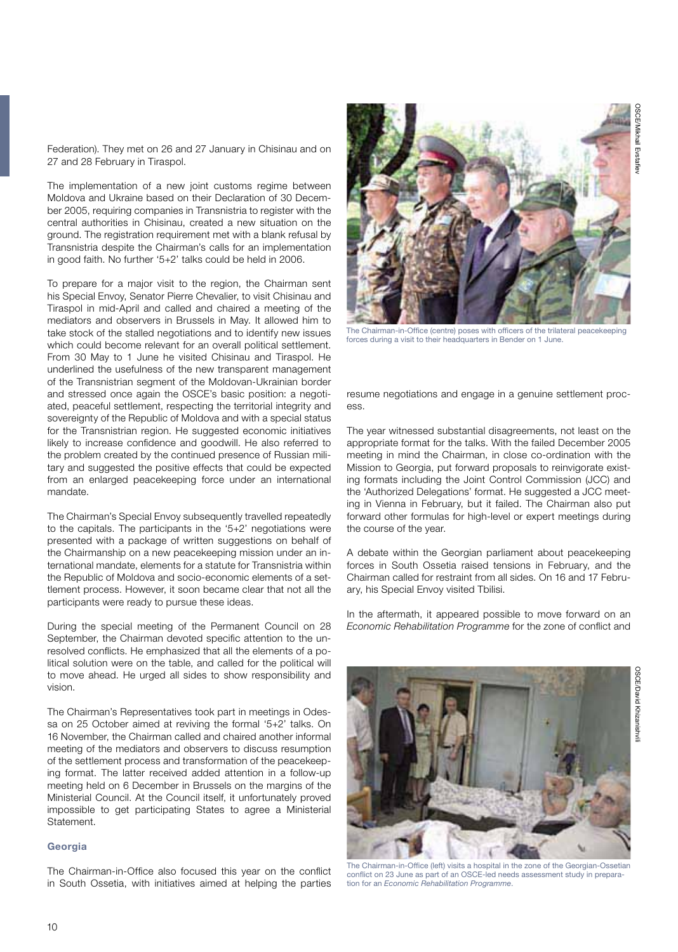Federation). They met on 26 and 27 January in Chisinau and on 27 and 28 February in Tiraspol.

The implementation of a new joint customs regime between Moldova and Ukraine based on their Declaration of 30 December 2005, requiring companies in Transnistria to register with the central authorities in Chisinau, created a new situation on the ground. The registration requirement met with a blank refusal by Transnistria despite the Chairman's calls for an implementation in good faith. No further '5+2' talks could be held in 2006.

To prepare for a major visit to the region, the Chairman sent his Special Envoy, Senator Pierre Chevalier, to visit Chisinau and Tiraspol in mid-April and called and chaired a meeting of the mediators and observers in Brussels in May. It allowed him to take stock of the stalled negotiations and to identify new issues which could become relevant for an overall political settlement. From 30 May to 1 June he visited Chisinau and Tiraspol. He underlined the usefulness of the new transparent management of the Transnistrian segment of the Moldovan-Ukrainian border and stressed once again the OSCE's basic position: a negotiated, peaceful settlement, respecting the territorial integrity and sovereignty of the Republic of Moldova and with a special status for the Transnistrian region. He suggested economic initiatives likely to increase confidence and goodwill. He also referred to the problem created by the continued presence of Russian military and suggested the positive effects that could be expected from an enlarged peacekeeping force under an international mandate.

The Chairman's Special Envoy subsequently travelled repeatedly to the capitals. The participants in the '5+2' negotiations were presented with a package of written suggestions on behalf of the Chairmanship on a new peacekeeping mission under an international mandate, elements for a statute for Transnistria within the Republic of Moldova and socio-economic elements of a settlement process. However, it soon became clear that not all the participants were ready to pursue these ideas.

During the special meeting of the Permanent Council on 28 September, the Chairman devoted specific attention to the unresolved conflicts. He emphasized that all the elements of a political solution were on the table, and called for the political will to move ahead. He urged all sides to show responsibility and vision.

The Chairman's Representatives took part in meetings in Odessa on 25 October aimed at reviving the formal '5+2' talks. On 16 November, the Chairman called and chaired another informal meeting of the mediators and observers to discuss resumption of the settlement process and transformation of the peacekeeping format. The latter received added attention in a follow-up meeting held on 6 December in Brussels on the margins of the Ministerial Council. At the Council itself, it unfortunately proved impossible to get participating States to agree a Ministerial Statement.

#### **Georgia**

The Chairman-in-Office also focused this year on the conflict in South Ossetia, with initiatives aimed at helping the parties



The Chairman-in-Office (centre) poses with officers of the trilateral peacekeeping forces during a visit to their headquarters in Bender on 1 June.

resume negotiations and engage in a genuine settlement process.

The year witnessed substantial disagreements, not least on the appropriate format for the talks. With the failed December 2005 meeting in mind the Chairman, in close co-ordination with the Mission to Georgia, put forward proposals to reinvigorate existing formats including the Joint Control Commission (JCC) and the 'Authorized Delegations' format. He suggested a JCC meeting in Vienna in February, but it failed. The Chairman also put forward other formulas for high-level or expert meetings during the course of the year.

A debate within the Georgian parliament about peacekeeping forces in South Ossetia raised tensions in February, and the Chairman called for restraint from all sides. On 16 and 17 February, his Special Envoy visited Tbilisi.

In the aftermath, it appeared possible to move forward on an *Economic Rehabilitation Programme* for the zone of conflict and



The Chairman-in-Office (left) visits a hospital in the zone of the Georgian-Ossetian conflict on 23 June as part of an OSCE-led needs assessment study in preparation for an *Economic Rehabilitation Programme*.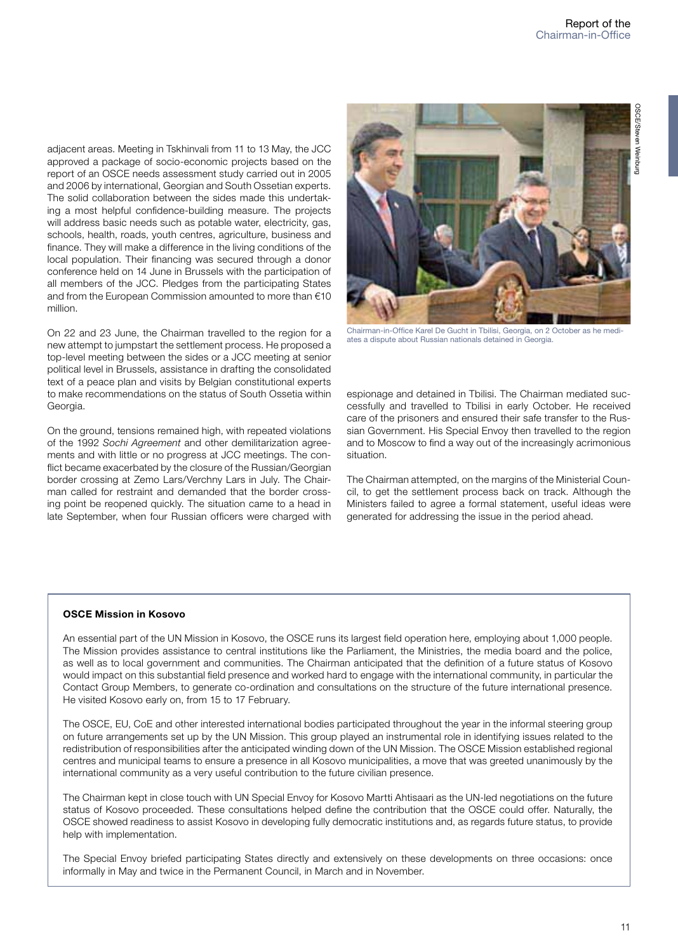adjacent areas. Meeting in Tskhinvali from 11 to 13 May, the JCC approved a package of socio-economic projects based on the report of an OSCE needs assessment study carried out in 2005 and 2006 by international, Georgian and South Ossetian experts. The solid collaboration between the sides made this undertaking a most helpful confidence-building measure. The projects will address basic needs such as potable water, electricity, gas, schools, health, roads, youth centres, agriculture, business and finance. They will make a difference in the living conditions of the local population. Their financing was secured through a donor conference held on 14 June in Brussels with the participation of all members of the JCC. Pledges from the participating States and from the European Commission amounted to more than €10 million.

On 22 and 23 June, the Chairman travelled to the region for a new attempt to jumpstart the settlement process. He proposed a top-level meeting between the sides or a JCC meeting at senior political level in Brussels, assistance in drafting the consolidated text of a peace plan and visits by Belgian constitutional experts to make recommendations on the status of South Ossetia within Georgia.

On the ground, tensions remained high, with repeated violations of the 1992 *Sochi Agreement* and other demilitarization agreements and with little or no progress at JCC meetings. The conflict became exacerbated by the closure of the Russian/Georgian border crossing at Zemo Lars/Verchny Lars in July. The Chairman called for restraint and demanded that the border crossing point be reopened quickly. The situation came to a head in late September, when four Russian officers were charged with



Chairman-in-Office Karel De Gucht in Tbilisi, Georgia, on 2 October as he mediates a dispute about Russian nationals detained in Georgia.

espionage and detained in Tbilisi. The Chairman mediated successfully and travelled to Tbilisi in early October. He received care of the prisoners and ensured their safe transfer to the Russian Government. His Special Envoy then travelled to the region and to Moscow to find a way out of the increasingly acrimonious situation.

The Chairman attempted, on the margins of the Ministerial Council, to get the settlement process back on track. Although the Ministers failed to agree a formal statement, useful ideas were generated for addressing the issue in the period ahead.

#### **OSCE Mission in Kosovo**

An essential part of the UN Mission in Kosovo, the OSCE runs its largest field operation here, employing about 1,000 people. The Mission provides assistance to central institutions like the Parliament, the Ministries, the media board and the police, as well as to local government and communities. The Chairman anticipated that the definition of a future status of Kosovo would impact on this substantial field presence and worked hard to engage with the international community, in particular the Contact Group Members, to generate co-ordination and consultations on the structure of the future international presence. He visited Kosovo early on, from 15 to 17 February.

The OSCE, EU, CoE and other interested international bodies participated throughout the year in the informal steering group on future arrangements set up by the UN Mission. This group played an instrumental role in identifying issues related to the redistribution of responsibilities after the anticipated winding down of the UN Mission. The OSCE Mission established regional centres and municipal teams to ensure a presence in all Kosovo municipalities, a move that was greeted unanimously by the international community as a very useful contribution to the future civilian presence.

The Chairman kept in close touch with UN Special Envoy for Kosovo Martti Ahtisaari as the UN-led negotiations on the future status of Kosovo proceeded. These consultations helped define the contribution that the OSCE could offer. Naturally, the OSCE showed readiness to assist Kosovo in developing fully democratic institutions and, as regards future status, to provide help with implementation.

The Special Envoy briefed participating States directly and extensively on these developments on three occasions: once informally in May and twice in the Permanent Council, in March and in November.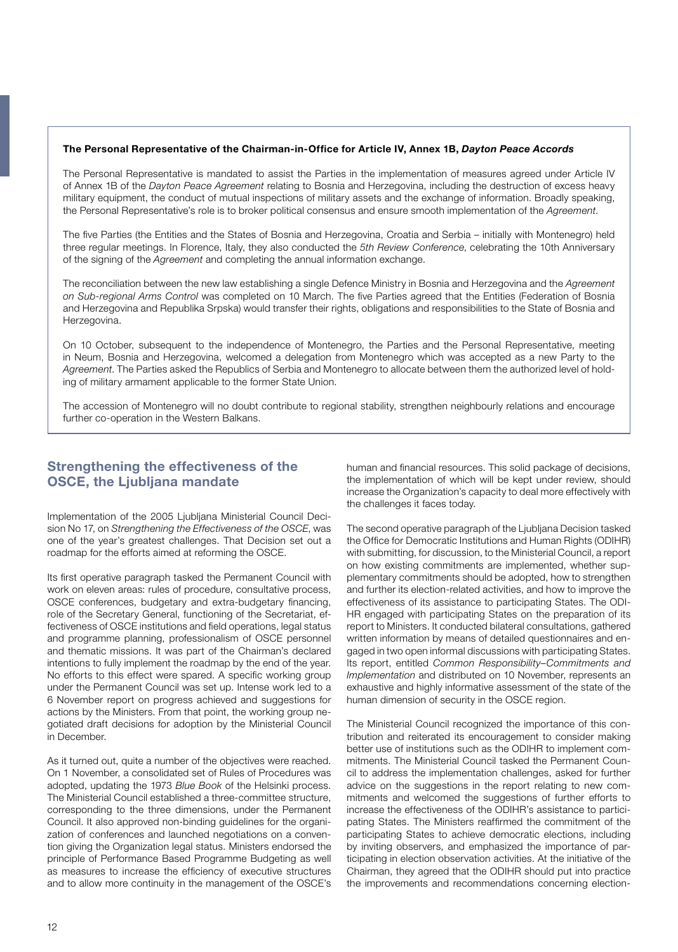#### **The Personal Representative of the Chairman-in-Office for Article IV, Annex 1B,** *Dayton Peace Accords*

The Personal Representative is mandated to assist the Parties in the implementation of measures agreed under Article IV of Annex 1B of the *Dayton Peace Agreement* relating to Bosnia and Herzegovina, including the destruction of excess heavy military equipment, the conduct of mutual inspections of military assets and the exchange of information. Broadly speaking, the Personal Representative's role is to broker political consensus and ensure smooth implementation of the *Agreement*.

The five Parties (the Entities and the States of Bosnia and Herzegovina, Croatia and Serbia – initially with Montenegro) held three regular meetings. In Florence, Italy, they also conducted the *5th Review Conference*, celebrating the 10th Anniversary of the signing of the *Agreement* and completing the annual information exchange.

The reconciliation between the new law establishing a single Defence Ministry in Bosnia and Herzegovina and the *Agreement on Sub-regional Arms Control* was completed on 10 March. The five Parties agreed that the Entities (Federation of Bosnia and Herzegovina and Republika Srpska) would transfer their rights, obligations and responsibilities to the State of Bosnia and Herzegovina.

On 10 October, subsequent to the independence of Montenegro, the Parties and the Personal Representative, meeting in Neum, Bosnia and Herzegovina, welcomed a delegation from Montenegro which was accepted as a new Party to the *Agreement*. The Parties asked the Republics of Serbia and Montenegro to allocate between them the authorized level of holding of military armament applicable to the former State Union.

The accession of Montenegro will no doubt contribute to regional stability, strengthen neighbourly relations and encourage further co-operation in the Western Balkans.

## **Strengthening the effectiveness of the OSCE, the Ljubljana mandate**

Implementation of the 2005 Ljubljana Ministerial Council Decision No 17, on *Strengthening the Effectiveness of the OSCE*, was one of the year's greatest challenges. That Decision set out a roadmap for the efforts aimed at reforming the OSCE.

Its first operative paragraph tasked the Permanent Council with work on eleven areas: rules of procedure, consultative process, OSCE conferences, budgetary and extra-budgetary financing, role of the Secretary General, functioning of the Secretariat, effectiveness of OSCE institutions and field operations, legal status and programme planning, professionalism of OSCE personnel and thematic missions. It was part of the Chairman's declared intentions to fully implement the roadmap by the end of the year. No efforts to this effect were spared. A specific working group under the Permanent Council was set up. Intense work led to a 6 November report on progress achieved and suggestions for actions by the Ministers. From that point, the working group negotiated draft decisions for adoption by the Ministerial Council in December.

As it turned out, quite a number of the objectives were reached. On 1 November, a consolidated set of Rules of Procedures was adopted, updating the 1973 *Blue Book* of the Helsinki process. The Ministerial Council established a three-committee structure, corresponding to the three dimensions, under the Permanent Council. It also approved non-binding guidelines for the organization of conferences and launched negotiations on a convention giving the Organization legal status. Ministers endorsed the principle of Performance Based Programme Budgeting as well as measures to increase the efficiency of executive structures and to allow more continuity in the management of the OSCE's

human and financial resources. This solid package of decisions, the implementation of which will be kept under review, should increase the Organization's capacity to deal more effectively with the challenges it faces today.

The second operative paragraph of the Ljubljana Decision tasked the Office for Democratic Institutions and Human Rights (ODIHR) with submitting, for discussion, to the Ministerial Council, a report on how existing commitments are implemented, whether supplementary commitments should be adopted, how to strengthen and further its election-related activities, and how to improve the effectiveness of its assistance to participating States. The ODI-HR engaged with participating States on the preparation of its report to Ministers. It conducted bilateral consultations, gathered written information by means of detailed questionnaires and engaged in two open informal discussions with participating States. Its report, entitled *Common Responsibility–Commitments and Implementation* and distributed on 10 November, represents an exhaustive and highly informative assessment of the state of the human dimension of security in the OSCE region.

The Ministerial Council recognized the importance of this contribution and reiterated its encouragement to consider making better use of institutions such as the ODIHR to implement commitments. The Ministerial Council tasked the Permanent Council to address the implementation challenges, asked for further advice on the suggestions in the report relating to new commitments and welcomed the suggestions of further efforts to increase the effectiveness of the ODIHR's assistance to participating States. The Ministers reaffirmed the commitment of the participating States to achieve democratic elections, including by inviting observers, and emphasized the importance of participating in election observation activities. At the initiative of the Chairman, they agreed that the ODIHR should put into practice the improvements and recommendations concerning election-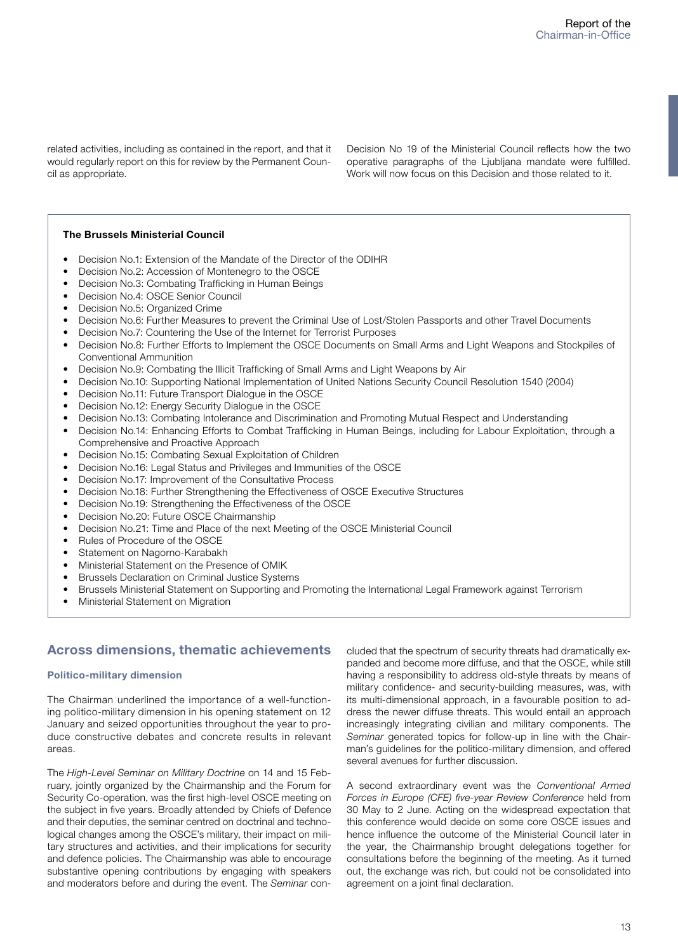related activities, including as contained in the report, and that it would regularly report on this for review by the Permanent Council as appropriate.

Decision No 19 of the Ministerial Council reflects how the two operative paragraphs of the Ljubljana mandate were fulfilled. Work will now focus on this Decision and those related to it.

#### **The Brussels Ministerial Council**

- Decision No.1: Extension of the Mandate of the Director of the ODIHR
- Decision No.2: Accession of Montenegro to the OSCE
- Decision No.3: Combating Trafficking in Human Beings
- Decision No.4: OSCE Senior Council
- Decision No.5: Organized Crime
- Decision No.6: Further Measures to prevent the Criminal Use of Lost/Stolen Passports and other Travel Documents
- Decision No.7: Countering the Use of the Internet for Terrorist Purposes
- Decision No.8: Further Efforts to Implement the OSCE Documents on Small Arms and Light Weapons and Stockpiles of Conventional Ammunition
- Decision No.9: Combating the Illicit Trafficking of Small Arms and Light Weapons by Air
- Decision No.10: Supporting National Implementation of United Nations Security Council Resolution 1540 (2004)
- Decision No.11: Future Transport Dialogue in the OSCE
- Decision No.12: Energy Security Dialogue in the OSCE
- Decision No.13: Combating Intolerance and Discrimination and Promoting Mutual Respect and Understanding
- Decision No.14: Enhancing Efforts to Combat Trafficking in Human Beings, including for Labour Exploitation, through a Comprehensive and Proactive Approach
- Decision No.15: Combating Sexual Exploitation of Children
- Decision No.16: Legal Status and Privileges and Immunities of the OSCE
- Decision No.17: Improvement of the Consultative Process
- Decision No.18: Further Strengthening the Effectiveness of OSCE Executive Structures
- Decision No.19: Strengthening the Effectiveness of the OSCE
- Decision No.20: Future OSCE Chairmanship
- Decision No.21: Time and Place of the next Meeting of the OSCE Ministerial Council
- Rules of Procedure of the OSCE
- Statement on Nagorno-Karabakh
- Ministerial Statement on the Presence of OMIK
- Brussels Declaration on Criminal Justice Systems
- Brussels Ministerial Statement on Supporting and Promoting the International Legal Framework against Terrorism
- Ministerial Statement on Migration

## **Across dimensions, thematic achievements**

#### **Politico-military dimension**

The Chairman underlined the importance of a well-functioning politico-military dimension in his opening statement on 12 January and seized opportunities throughout the year to produce constructive debates and concrete results in relevant areas.

The *High-Level Seminar on Military Doctrine* on 14 and 15 February, jointly organized by the Chairmanship and the Forum for Security Co-operation, was the first high-level OSCE meeting on the subject in five years. Broadly attended by Chiefs of Defence and their deputies, the seminar centred on doctrinal and technological changes among the OSCE's military, their impact on military structures and activities, and their implications for security and defence policies. The Chairmanship was able to encourage substantive opening contributions by engaging with speakers and moderators before and during the event. The *Seminar* concluded that the spectrum of security threats had dramatically expanded and become more diffuse, and that the OSCE, while still having a responsibility to address old-style threats by means of military confidence- and security-building measures, was, with its multi-dimensional approach, in a favourable position to address the newer diffuse threats. This would entail an approach increasingly integrating civilian and military components. The *Seminar* generated topics for follow-up in line with the Chairman's guidelines for the politico-military dimension, and offered several avenues for further discussion.

A second extraordinary event was the *Conventional Armed Forces in Europe (CFE) five-year Review Conference* held from 30 May to 2 June. Acting on the widespread expectation that this conference would decide on some core OSCE issues and hence influence the outcome of the Ministerial Council later in the year, the Chairmanship brought delegations together for consultations before the beginning of the meeting. As it turned out, the exchange was rich, but could not be consolidated into agreement on a joint final declaration.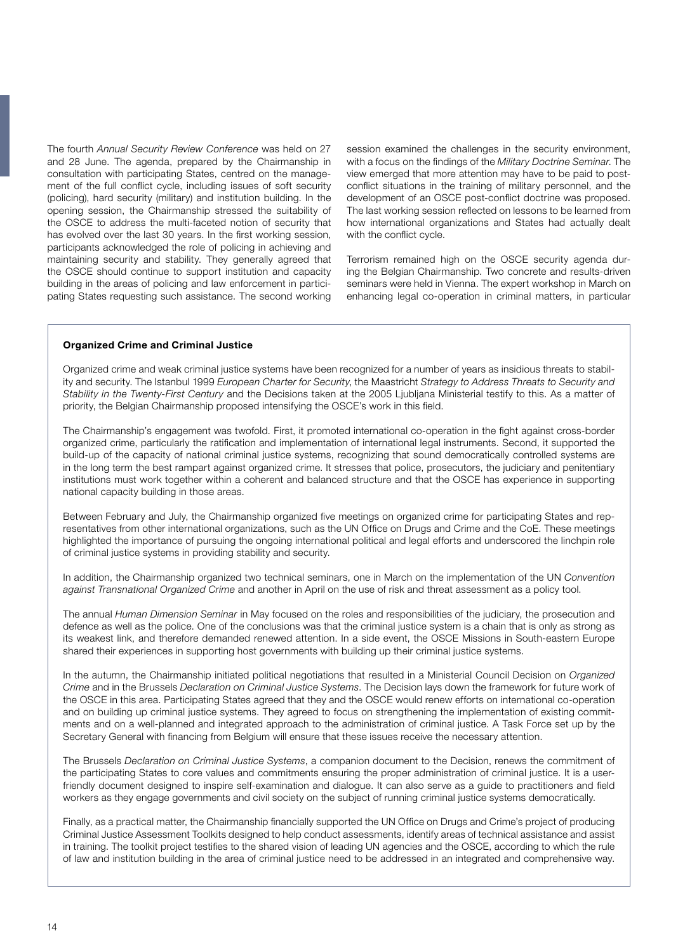The fourth *Annual Security Review Conference* was held on 27 and 28 June. The agenda, prepared by the Chairmanship in consultation with participating States, centred on the management of the full conflict cycle, including issues of soft security (policing), hard security (military) and institution building. In the opening session, the Chairmanship stressed the suitability of the OSCE to address the multi-faceted notion of security that has evolved over the last 30 years. In the first working session, participants acknowledged the role of policing in achieving and maintaining security and stability. They generally agreed that the OSCE should continue to support institution and capacity building in the areas of policing and law enforcement in participating States requesting such assistance. The second working session examined the challenges in the security environment, with a focus on the findings of the *Military Doctrine Seminar*. The view emerged that more attention may have to be paid to postconflict situations in the training of military personnel, and the development of an OSCE post-conflict doctrine was proposed. The last working session reflected on lessons to be learned from how international organizations and States had actually dealt with the conflict cycle.

Terrorism remained high on the OSCE security agenda during the Belgian Chairmanship. Two concrete and results-driven seminars were held in Vienna. The expert workshop in March on enhancing legal co-operation in criminal matters, in particular

#### **Organized Crime and Criminal Justice**

Organized crime and weak criminal justice systems have been recognized for a number of years as insidious threats to stability and security. The Istanbul 1999 *European Charter for Security*, the Maastricht *Strategy to Address Threats to Security and Stability in the Twenty-First Century* and the Decisions taken at the 2005 Ljubljana Ministerial testify to this. As a matter of priority, the Belgian Chairmanship proposed intensifying the OSCE's work in this field.

The Chairmanship's engagement was twofold. First, it promoted international co-operation in the fight against cross-border organized crime, particularly the ratification and implementation of international legal instruments. Second, it supported the build-up of the capacity of national criminal justice systems, recognizing that sound democratically controlled systems are in the long term the best rampart against organized crime. It stresses that police, prosecutors, the judiciary and penitentiary institutions must work together within a coherent and balanced structure and that the OSCE has experience in supporting national capacity building in those areas.

Between February and July, the Chairmanship organized five meetings on organized crime for participating States and representatives from other international organizations, such as the UN Office on Drugs and Crime and the CoE. These meetings highlighted the importance of pursuing the ongoing international political and legal efforts and underscored the linchpin role of criminal justice systems in providing stability and security.

In addition, the Chairmanship organized two technical seminars, one in March on the implementation of the UN *Convention against Transnational Organized Crime* and another in April on the use of risk and threat assessment as a policy tool.

The annual *Human Dimension Seminar* in May focused on the roles and responsibilities of the judiciary, the prosecution and defence as well as the police. One of the conclusions was that the criminal justice system is a chain that is only as strong as its weakest link, and therefore demanded renewed attention. In a side event, the OSCE Missions in South-eastern Europe shared their experiences in supporting host governments with building up their criminal justice systems.

In the autumn, the Chairmanship initiated political negotiations that resulted in a Ministerial Council Decision on *Organized Crime* and in the Brussels *Declaration on Criminal Justice Systems*. The Decision lays down the framework for future work of the OSCE in this area. Participating States agreed that they and the OSCE would renew efforts on international co-operation and on building up criminal justice systems. They agreed to focus on strengthening the implementation of existing commitments and on a well-planned and integrated approach to the administration of criminal justice. A Task Force set up by the Secretary General with financing from Belgium will ensure that these issues receive the necessary attention.

The Brussels *Declaration on Criminal Justice Systems*, a companion document to the Decision, renews the commitment of the participating States to core values and commitments ensuring the proper administration of criminal justice. It is a userfriendly document designed to inspire self-examination and dialogue. It can also serve as a guide to practitioners and field workers as they engage governments and civil society on the subject of running criminal justice systems democratically.

Finally, as a practical matter, the Chairmanship financially supported the UN Office on Drugs and Crime's project of producing Criminal Justice Assessment Toolkits designed to help conduct assessments, identify areas of technical assistance and assist in training. The toolkit project testifies to the shared vision of leading UN agencies and the OSCE, according to which the rule of law and institution building in the area of criminal justice need to be addressed in an integrated and comprehensive way.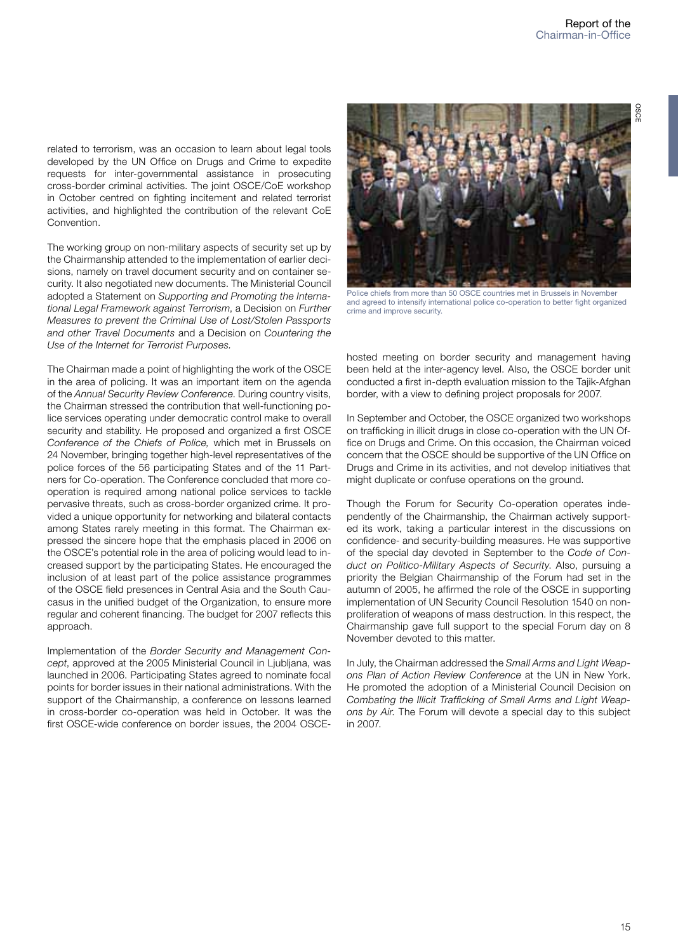**OSCI** 

related to terrorism, was an occasion to learn about legal tools developed by the UN Office on Drugs and Crime to expedite requests for inter-governmental assistance in prosecuting cross-border criminal activities. The joint OSCE/CoE workshop in October centred on fighting incitement and related terrorist activities, and highlighted the contribution of the relevant CoE Convention.

The working group on non-military aspects of security set up by the Chairmanship attended to the implementation of earlier decisions, namely on travel document security and on container security. It also negotiated new documents. The Ministerial Council adopted a Statement on *Supporting and Promoting the International Legal Framework against Terrorism*, a Decision on *Further Measures to prevent the Criminal Use of Lost/Stolen Passports and other Travel Documents* and a Decision on *Countering the Use of the Internet for Terrorist Purposes.*

The Chairman made a point of highlighting the work of the OSCE in the area of policing. It was an important item on the agenda of the *Annual Security Review Conference*. During country visits, the Chairman stressed the contribution that well-functioning police services operating under democratic control make to overall security and stability. He proposed and organized a first OSCE *Conference of the Chiefs of Police,* which met in Brussels on 24 November, bringing together high-level representatives of the police forces of the 56 participating States and of the 11 Partners for Co-operation. The Conference concluded that more cooperation is required among national police services to tackle pervasive threats, such as cross-border organized crime. It provided a unique opportunity for networking and bilateral contacts among States rarely meeting in this format. The Chairman expressed the sincere hope that the emphasis placed in 2006 on the OSCE's potential role in the area of policing would lead to increased support by the participating States. He encouraged the inclusion of at least part of the police assistance programmes of the OSCE field presences in Central Asia and the South Caucasus in the unified budget of the Organization, to ensure more regular and coherent financing. The budget for 2007 reflects this approach.

Implementation of the *Border Security and Management Concept*, approved at the 2005 Ministerial Council in Ljubljana, was launched in 2006. Participating States agreed to nominate focal points for border issues in their national administrations. With the support of the Chairmanship, a conference on lessons learned in cross-border co-operation was held in October. It was the first OSCE-wide conference on border issues, the 2004 OSCE-



Police chiefs from more than 50 OSCE countries met in Brussels in November and agreed to intensify international police co-operation to better fight organized crime and improve security.

hosted meeting on border security and management having been held at the inter-agency level. Also, the OSCE border unit conducted a first in-depth evaluation mission to the Tajik-Afghan border, with a view to defining project proposals for 2007.

In September and October, the OSCE organized two workshops on trafficking in illicit drugs in close co-operation with the UN Office on Drugs and Crime. On this occasion, the Chairman voiced concern that the OSCE should be supportive of the UN Office on Drugs and Crime in its activities, and not develop initiatives that might duplicate or confuse operations on the ground.

Though the Forum for Security Co-operation operates independently of the Chairmanship, the Chairman actively supported its work, taking a particular interest in the discussions on confidence- and security-building measures. He was supportive of the special day devoted in September to the *Code of Conduct on Politico-Military Aspects of Security*. Also, pursuing a priority the Belgian Chairmanship of the Forum had set in the autumn of 2005, he affirmed the role of the OSCE in supporting implementation of UN Security Council Resolution 1540 on nonproliferation of weapons of mass destruction. In this respect, the Chairmanship gave full support to the special Forum day on 8 November devoted to this matter.

In July, the Chairman addressed the *Small Arms and Light Weapons Plan of Action Review Conference* at the UN in New York. He promoted the adoption of a Ministerial Council Decision on *Combating the Illicit Trafficking of Small Arms and Light Weapons by Air*. The Forum will devote a special day to this subject in 2007.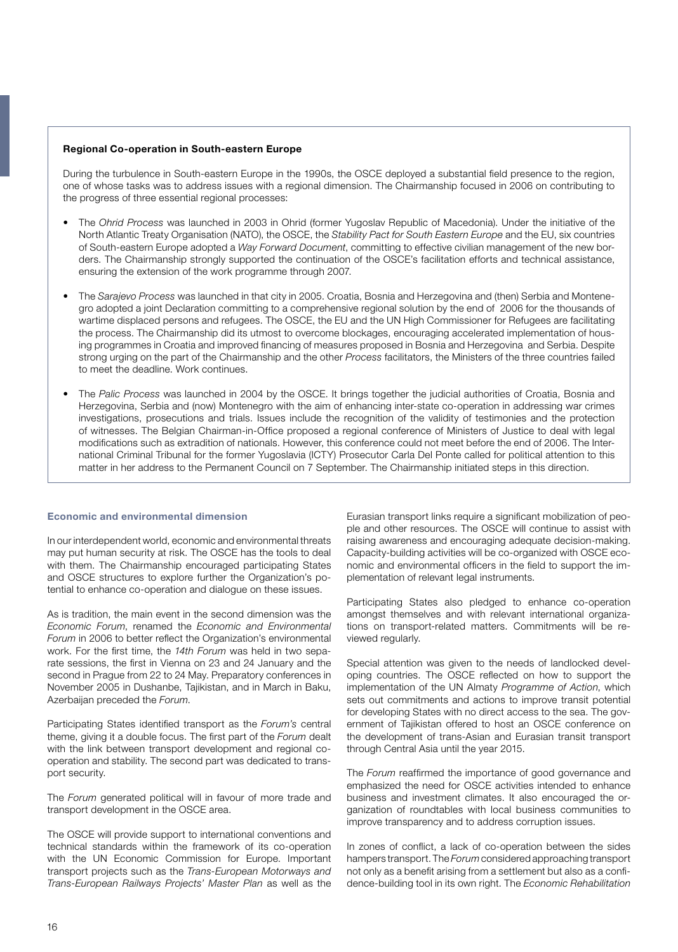#### **Regional Co-operation in South-eastern Europe**

During the turbulence in South-eastern Europe in the 1990s, the OSCE deployed a substantial field presence to the region, one of whose tasks was to address issues with a regional dimension. The Chairmanship focused in 2006 on contributing to the progress of three essential regional processes:

- The *Ohrid Process* was launched in 2003 in Ohrid (former Yugoslav Republic of Macedonia). Under the initiative of the North Atlantic Treaty Organisation (NATO), the OSCE, the *Stability Pact for South Eastern Europe* and the EU, six countries of South-eastern Europe adopted a *Way Forward Document*, committing to effective civilian management of the new borders. The Chairmanship strongly supported the continuation of the OSCE's facilitation efforts and technical assistance, ensuring the extension of the work programme through 2007.
- The *Sarajevo Process* was launched in that city in 2005. Croatia, Bosnia and Herzegovina and (then) Serbia and Montenegro adopted a joint Declaration committing to a comprehensive regional solution by the end of 2006 for the thousands of wartime displaced persons and refugees. The OSCE, the EU and the UN High Commissioner for Refugees are facilitating the process. The Chairmanship did its utmost to overcome blockages, encouraging accelerated implementation of housing programmes in Croatia and improved financing of measures proposed in Bosnia and Herzegovina and Serbia. Despite strong urging on the part of the Chairmanship and the other *Process* facilitators, the Ministers of the three countries failed to meet the deadline. Work continues.
- The *Palic Process* was launched in 2004 by the OSCE. It brings together the judicial authorities of Croatia, Bosnia and Herzegovina, Serbia and (now) Montenegro with the aim of enhancing inter-state co-operation in addressing war crimes investigations, prosecutions and trials. Issues include the recognition of the validity of testimonies and the protection of witnesses. The Belgian Chairman-in-Office proposed a regional conference of Ministers of Justice to deal with legal modifications such as extradition of nationals. However, this conference could not meet before the end of 2006. The International Criminal Tribunal for the former Yugoslavia (ICTY) Prosecutor Carla Del Ponte called for political attention to this matter in her address to the Permanent Council on 7 September. The Chairmanship initiated steps in this direction.

#### **Economic and environmental dimension**

In our interdependent world, economic and environmental threats may put human security at risk. The OSCE has the tools to deal with them. The Chairmanship encouraged participating States and OSCE structures to explore further the Organization's potential to enhance co-operation and dialogue on these issues.

As is tradition, the main event in the second dimension was the *Economic Forum*, renamed the *Economic and Environmental Forum* in 2006 to better reflect the Organization's environmental work. For the first time, the *14th Forum* was held in two separate sessions, the first in Vienna on 23 and 24 January and the second in Prague from 22 to 24 May. Preparatory conferences in November 2005 in Dushanbe, Tajikistan, and in March in Baku, Azerbaijan preceded the *Forum*.

Participating States identified transport as the *Forum's* central theme, giving it a double focus. The first part of the *Forum* dealt with the link between transport development and regional cooperation and stability. The second part was dedicated to transport security.

The *Forum* generated political will in favour of more trade and transport development in the OSCE area.

The OSCE will provide support to international conventions and technical standards within the framework of its co-operation with the UN Economic Commission for Europe. Important transport projects such as the *Trans-European Motorways and Trans-European Railways Projects' Master Plan* as well as the

Eurasian transport links require a significant mobilization of people and other resources. The OSCE will continue to assist with raising awareness and encouraging adequate decision-making. Capacity-building activities will be co-organized with OSCE economic and environmental officers in the field to support the implementation of relevant legal instruments.

Participating States also pledged to enhance co-operation amongst themselves and with relevant international organizations on transport-related matters. Commitments will be reviewed regularly.

Special attention was given to the needs of landlocked developing countries. The OSCE reflected on how to support the implementation of the UN Almaty *Programme of Action*, which sets out commitments and actions to improve transit potential for developing States with no direct access to the sea. The government of Tajikistan offered to host an OSCE conference on the development of trans-Asian and Eurasian transit transport through Central Asia until the year 2015.

The *Forum* reaffirmed the importance of good governance and emphasized the need for OSCE activities intended to enhance business and investment climates. It also encouraged the organization of roundtables with local business communities to improve transparency and to address corruption issues.

In zones of conflict, a lack of co-operation between the sides hampers transport. The *Forum* considered approaching transport not only as a benefit arising from a settlement but also as a confidence-building tool in its own right. The *Economic Rehabilitation*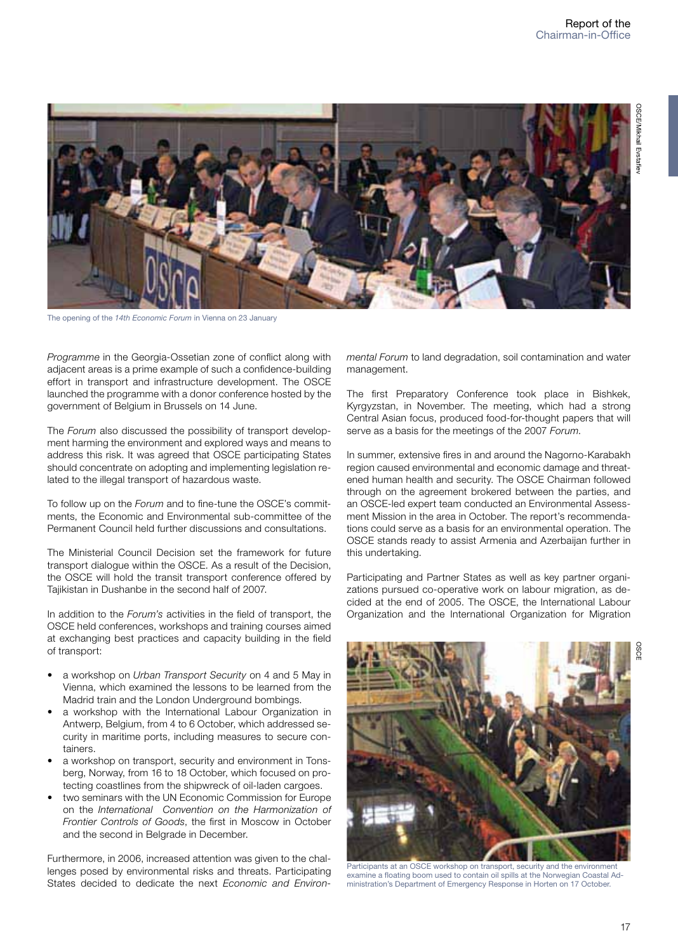

The opening of the *14th Economic Forum* in Vienna on 23 January

*Programme* in the Georgia-Ossetian zone of conflict along with adjacent areas is a prime example of such a confidence-building effort in transport and infrastructure development. The OSCE launched the programme with a donor conference hosted by the government of Belgium in Brussels on 14 June.

The *Forum* also discussed the possibility of transport development harming the environment and explored ways and means to address this risk. It was agreed that OSCE participating States should concentrate on adopting and implementing legislation related to the illegal transport of hazardous waste.

To follow up on the *Forum* and to fine-tune the OSCE's commitments, the Economic and Environmental sub-committee of the Permanent Council held further discussions and consultations.

The Ministerial Council Decision set the framework for future transport dialogue within the OSCE. As a result of the Decision, the OSCE will hold the transit transport conference offered by Tajikistan in Dushanbe in the second half of 2007.

In addition to the *Forum's* activities in the field of transport, the OSCE held conferences, workshops and training courses aimed at exchanging best practices and capacity building in the field of transport:

- a workshop on *Urban Transport Security* on 4 and 5 May in Vienna, which examined the lessons to be learned from the Madrid train and the London Underground bombings.
- a workshop with the International Labour Organization in Antwerp, Belgium, from 4 to 6 October, which addressed security in maritime ports, including measures to secure containers.
- a workshop on transport, security and environment in Tonsberg, Norway, from 16 to 18 October, which focused on protecting coastlines from the shipwreck of oil-laden cargoes.
- two seminars with the UN Economic Commission for Europe on the *International Convention on the Harmonization of Frontier Controls of Goods*, the first in Moscow in October and the second in Belgrade in December.

Furthermore, in 2006, increased attention was given to the challenges posed by environmental risks and threats. Participating States decided to dedicate the next *Economic and Environ-* *mental Forum* to land degradation, soil contamination and water management.

The first Preparatory Conference took place in Bishkek, Kyrgyzstan, in November. The meeting, which had a strong Central Asian focus, produced food-for-thought papers that will serve as a basis for the meetings of the 2007 *Forum*.

In summer, extensive fires in and around the Nagorno-Karabakh region caused environmental and economic damage and threatened human health and security. The OSCE Chairman followed through on the agreement brokered between the parties, and an OSCE-led expert team conducted an Environmental Assessment Mission in the area in October. The report's recommendations could serve as a basis for an environmental operation. The OSCE stands ready to assist Armenia and Azerbaijan further in this undertaking.

Participating and Partner States as well as key partner organizations pursued co-operative work on labour migration, as decided at the end of 2005. The OSCE, the International Labour Organization and the International Organization for Migration



Participants at an OSCE workshop on transport, security and the environment examine a floating boom used to contain oil spills at the Norwegian Coastal Administration's Department of Emergency Response in Horten on 17 October.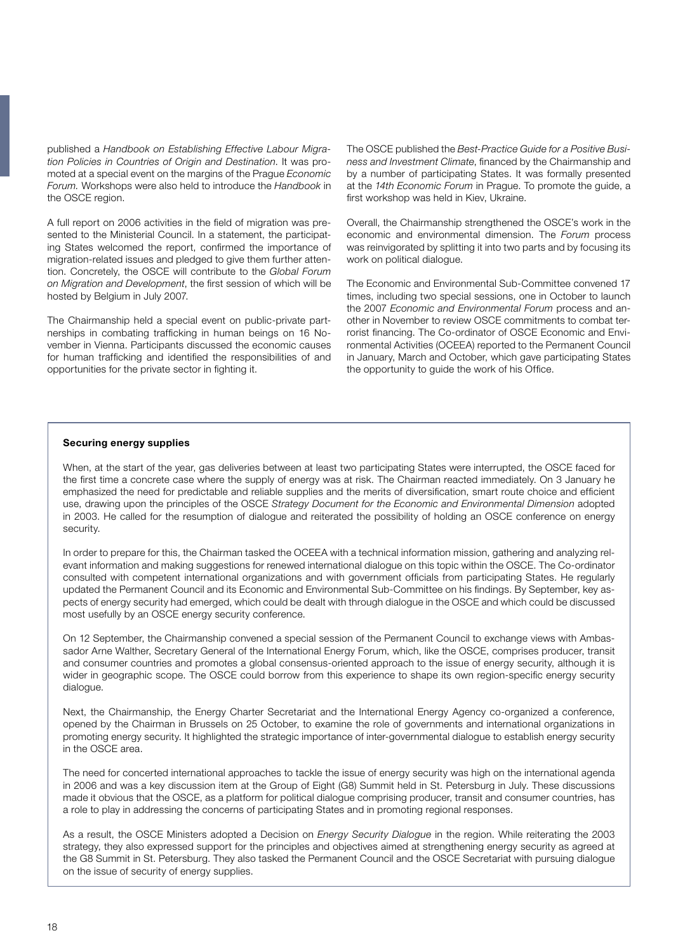published a *Handbook on Establishing Effective Labour Migration Policies in Countries of Origin and Destination*. It was promoted at a special event on the margins of the Prague *Economic Forum.* Workshops were also held to introduce the *Handbook* in the OSCE region.

A full report on 2006 activities in the field of migration was presented to the Ministerial Council. In a statement, the participating States welcomed the report, confirmed the importance of migration-related issues and pledged to give them further attention. Concretely, the OSCE will contribute to the *Global Forum on Migration and Development*, the first session of which will be hosted by Belgium in July 2007.

The Chairmanship held a special event on public-private partnerships in combating trafficking in human beings on 16 November in Vienna. Participants discussed the economic causes for human trafficking and identified the responsibilities of and opportunities for the private sector in fighting it.

The OSCE published the *Best-Practice Guide for a Positive Business and Investment Climate*, financed by the Chairmanship and by a number of participating States. It was formally presented at the *14th Economic Forum* in Prague. To promote the guide, a first workshop was held in Kiev, Ukraine.

Overall, the Chairmanship strengthened the OSCE's work in the economic and environmental dimension. The *Forum* process was reinvigorated by splitting it into two parts and by focusing its work on political dialogue.

The Economic and Environmental Sub-Committee convened 17 times, including two special sessions, one in October to launch the 2007 *Economic and Environmental Forum* process and another in November to review OSCE commitments to combat terrorist financing. The Co-ordinator of OSCE Economic and Environmental Activities (OCEEA) reported to the Permanent Council in January, March and October, which gave participating States the opportunity to guide the work of his Office.

#### **Securing energy supplies**

When, at the start of the year, gas deliveries between at least two participating States were interrupted, the OSCE faced for the first time a concrete case where the supply of energy was at risk. The Chairman reacted immediately. On 3 January he emphasized the need for predictable and reliable supplies and the merits of diversification, smart route choice and efficient use, drawing upon the principles of the OSCE *Strategy Document for the Economic and Environmental Dimension* adopted in 2003. He called for the resumption of dialogue and reiterated the possibility of holding an OSCE conference on energy security.

In order to prepare for this, the Chairman tasked the OCEEA with a technical information mission, gathering and analyzing relevant information and making suggestions for renewed international dialogue on this topic within the OSCE. The Co-ordinator consulted with competent international organizations and with government officials from participating States. He regularly updated the Permanent Council and its Economic and Environmental Sub-Committee on his findings. By September, key aspects of energy security had emerged, which could be dealt with through dialogue in the OSCE and which could be discussed most usefully by an OSCE energy security conference.

On 12 September, the Chairmanship convened a special session of the Permanent Council to exchange views with Ambassador Arne Walther, Secretary General of the International Energy Forum, which, like the OSCE, comprises producer, transit and consumer countries and promotes a global consensus-oriented approach to the issue of energy security, although it is wider in geographic scope. The OSCE could borrow from this experience to shape its own region-specific energy security dialogue.

Next, the Chairmanship, the Energy Charter Secretariat and the International Energy Agency co-organized a conference, opened by the Chairman in Brussels on 25 October, to examine the role of governments and international organizations in promoting energy security. It highlighted the strategic importance of inter-governmental dialogue to establish energy security in the OSCE area.

The need for concerted international approaches to tackle the issue of energy security was high on the international agenda in 2006 and was a key discussion item at the Group of Eight (G8) Summit held in St. Petersburg in July. These discussions made it obvious that the OSCE, as a platform for political dialogue comprising producer, transit and consumer countries, has a role to play in addressing the concerns of participating States and in promoting regional responses.

As a result, the OSCE Ministers adopted a Decision on *Energy Security Dialogue* in the region. While reiterating the 2003 strategy, they also expressed support for the principles and objectives aimed at strengthening energy security as agreed at the G8 Summit in St. Petersburg. They also tasked the Permanent Council and the OSCE Secretariat with pursuing dialogue on the issue of security of energy supplies.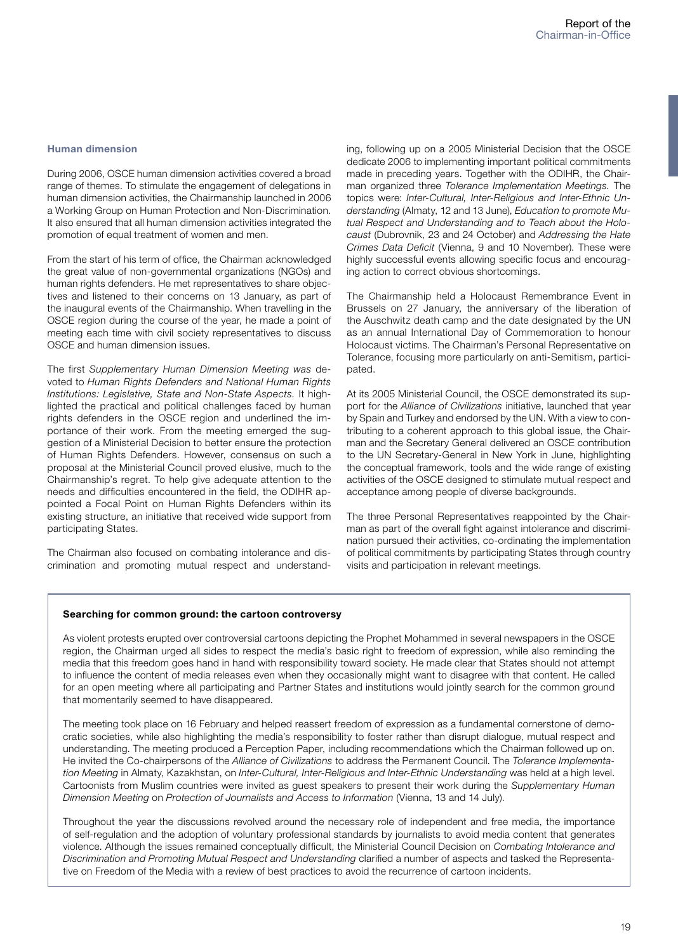#### **Human dimension**

During 2006, OSCE human dimension activities covered a broad range of themes. To stimulate the engagement of delegations in human dimension activities, the Chairmanship launched in 2006 a Working Group on Human Protection and Non-Discrimination. It also ensured that all human dimension activities integrated the promotion of equal treatment of women and men.

From the start of his term of office, the Chairman acknowledged the great value of non-governmental organizations (NGOs) and human rights defenders. He met representatives to share objectives and listened to their concerns on 13 January, as part of the inaugural events of the Chairmanship. When travelling in the OSCE region during the course of the year, he made a point of meeting each time with civil society representatives to discuss OSCE and human dimension issues.

The first *Supplementary Human Dimension Meeting was* devoted to *Human Rights Defenders and National Human Rights Institutions: Legislative, State and Non-State Aspects.* It highlighted the practical and political challenges faced by human rights defenders in the OSCE region and underlined the importance of their work. From the meeting emerged the suggestion of a Ministerial Decision to better ensure the protection of Human Rights Defenders. However, consensus on such a proposal at the Ministerial Council proved elusive, much to the Chairmanship's regret. To help give adequate attention to the needs and difficulties encountered in the field, the ODIHR appointed a Focal Point on Human Rights Defenders within its existing structure, an initiative that received wide support from participating States.

The Chairman also focused on combating intolerance and discrimination and promoting mutual respect and understand-

ing, following up on a 2005 Ministerial Decision that the OSCE dedicate 2006 to implementing important political commitments made in preceding years. Together with the ODIHR, the Chairman organized three *Tolerance Implementation Meetings.* The topics were: *Inter-Cultural, Inter-Religious and Inter-Ethnic Understanding* (Almaty, 12 and 13 June), *Education to promote Mutual Respect and Understanding and to Teach about the Holocaust* (Dubrovnik, 23 and 24 October) and *Addressing the Hate Crimes Data Deficit* (Vienna, 9 and 10 November). These were highly successful events allowing specific focus and encouraging action to correct obvious shortcomings.

The Chairmanship held a Holocaust Remembrance Event in Brussels on 27 January, the anniversary of the liberation of the Auschwitz death camp and the date designated by the UN as an annual International Day of Commemoration to honour Holocaust victims. The Chairman's Personal Representative on Tolerance, focusing more particularly on anti-Semitism, participated.

At its 2005 Ministerial Council, the OSCE demonstrated its support for the *Alliance of Civilizations* initiative, launched that year by Spain and Turkey and endorsed by the UN. With a view to contributing to a coherent approach to this global issue, the Chairman and the Secretary General delivered an OSCE contribution to the UN Secretary-General in New York in June, highlighting the conceptual framework, tools and the wide range of existing activities of the OSCE designed to stimulate mutual respect and acceptance among people of diverse backgrounds.

The three Personal Representatives reappointed by the Chairman as part of the overall fight against intolerance and discrimination pursued their activities, co-ordinating the implementation of political commitments by participating States through country visits and participation in relevant meetings.

#### **Searching for common ground: the cartoon controversy**

As violent protests erupted over controversial cartoons depicting the Prophet Mohammed in several newspapers in the OSCE region, the Chairman urged all sides to respect the media's basic right to freedom of expression, while also reminding the media that this freedom goes hand in hand with responsibility toward society. He made clear that States should not attempt to influence the content of media releases even when they occasionally might want to disagree with that content. He called for an open meeting where all participating and Partner States and institutions would jointly search for the common ground that momentarily seemed to have disappeared.

The meeting took place on 16 February and helped reassert freedom of expression as a fundamental cornerstone of democratic societies, while also highlighting the media's responsibility to foster rather than disrupt dialogue, mutual respect and understanding. The meeting produced a Perception Paper, including recommendations which the Chairman followed up on. He invited the Co-chairpersons of the *Alliance of Civilizations* to address the Permanent Council. The *Tolerance Implementation Meeting* in Almaty, Kazakhstan, on *Inter-Cultural, Inter-Religious and Inter-Ethnic Understanding* was held at a high level. Cartoonists from Muslim countries were invited as guest speakers to present their work during the *Supplementary Human Dimension Meeting* on *Protection of Journalists and Access to Information* (Vienna, 13 and 14 July).

Throughout the year the discussions revolved around the necessary role of independent and free media, the importance of self-regulation and the adoption of voluntary professional standards by journalists to avoid media content that generates violence. Although the issues remained conceptually difficult, the Ministerial Council Decision on *Combating Intolerance and Discrimination and Promoting Mutual Respect and Understanding* clarified a number of aspects and tasked the Representative on Freedom of the Media with a review of best practices to avoid the recurrence of cartoon incidents.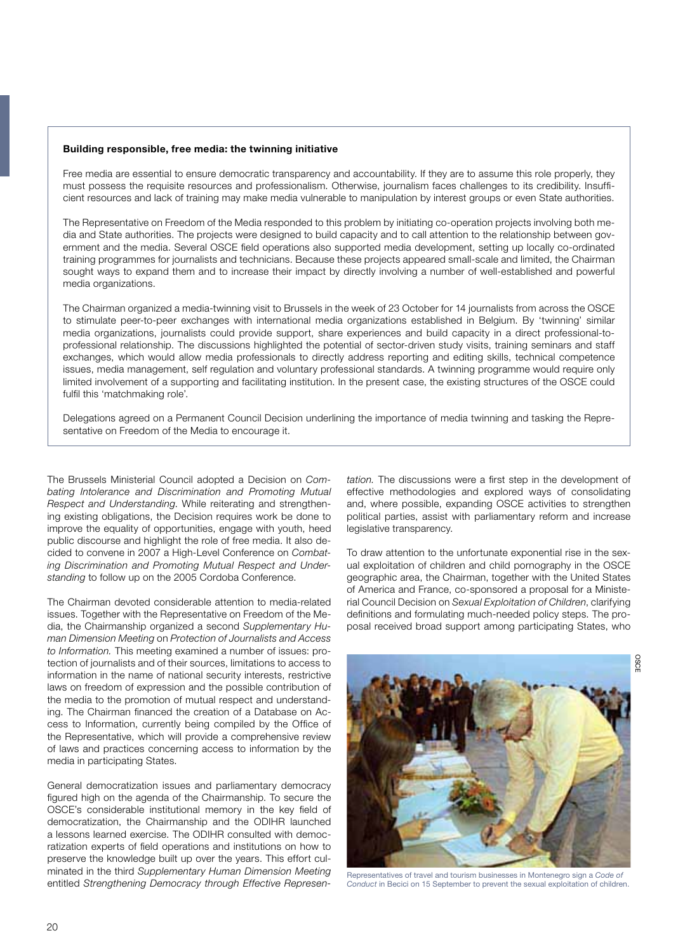#### **Building responsible, free media: the twinning initiative**

Free media are essential to ensure democratic transparency and accountability. If they are to assume this role properly, they must possess the requisite resources and professionalism. Otherwise, journalism faces challenges to its credibility. Insufficient resources and lack of training may make media vulnerable to manipulation by interest groups or even State authorities.

The Representative on Freedom of the Media responded to this problem by initiating co-operation projects involving both media and State authorities. The projects were designed to build capacity and to call attention to the relationship between government and the media. Several OSCE field operations also supported media development, setting up locally co-ordinated training programmes for journalists and technicians. Because these projects appeared small-scale and limited, the Chairman sought ways to expand them and to increase their impact by directly involving a number of well-established and powerful media organizations.

The Chairman organized a media-twinning visit to Brussels in the week of 23 October for 14 journalists from across the OSCE to stimulate peer-to-peer exchanges with international media organizations established in Belgium. By 'twinning' similar media organizations, journalists could provide support, share experiences and build capacity in a direct professional-toprofessional relationship. The discussions highlighted the potential of sector-driven study visits, training seminars and staff exchanges, which would allow media professionals to directly address reporting and editing skills, technical competence issues, media management, self regulation and voluntary professional standards. A twinning programme would require only limited involvement of a supporting and facilitating institution. In the present case, the existing structures of the OSCE could fulfil this 'matchmaking role'.

Delegations agreed on a Permanent Council Decision underlining the importance of media twinning and tasking the Representative on Freedom of the Media to encourage it.

The Brussels Ministerial Council adopted a Decision on *Combating Intolerance and Discrimination and Promoting Mutual Respect and Understanding*. While reiterating and strengthening existing obligations, the Decision requires work be done to improve the equality of opportunities, engage with youth, heed public discourse and highlight the role of free media. It also decided to convene in 2007 a High-Level Conference on *Combating Discrimination and Promoting Mutual Respect and Understanding* to follow up on the 2005 Cordoba Conference.

The Chairman devoted considerable attention to media-related issues. Together with the Representative on Freedom of the Media, the Chairmanship organized a second *Supplementary Human Dimension Meeting* on *Protection of Journalists and Access to Information.* This meeting examined a number of issues: protection of journalists and of their sources, limitations to access to information in the name of national security interests, restrictive laws on freedom of expression and the possible contribution of the media to the promotion of mutual respect and understanding. The Chairman financed the creation of a Database on Access to Information, currently being compiled by the Office of the Representative, which will provide a comprehensive review of laws and practices concerning access to information by the media in participating States.

General democratization issues and parliamentary democracy figured high on the agenda of the Chairmanship. To secure the OSCE's considerable institutional memory in the key field of democratization, the Chairmanship and the ODIHR launched a lessons learned exercise. The ODIHR consulted with democratization experts of field operations and institutions on how to preserve the knowledge built up over the years. This effort culminated in the third *Supplementary Human Dimension Meeting*  entitled *Strengthening Democracy through Effective Represen-* *tation.* The discussions were a first step in the development of effective methodologies and explored ways of consolidating and, where possible, expanding OSCE activities to strengthen political parties, assist with parliamentary reform and increase legislative transparency.

To draw attention to the unfortunate exponential rise in the sexual exploitation of children and child pornography in the OSCE geographic area, the Chairman, together with the United States of America and France, co-sponsored a proposal for a Ministerial Council Decision on *Sexual Exploitation of Children*, clarifying definitions and formulating much-needed policy steps. The proposal received broad support among participating States, who



Representatives of travel and tourism businesses in Montenegro sign a *Code of Conduct* in Becici on 15 September to prevent the sexual exploitation of children.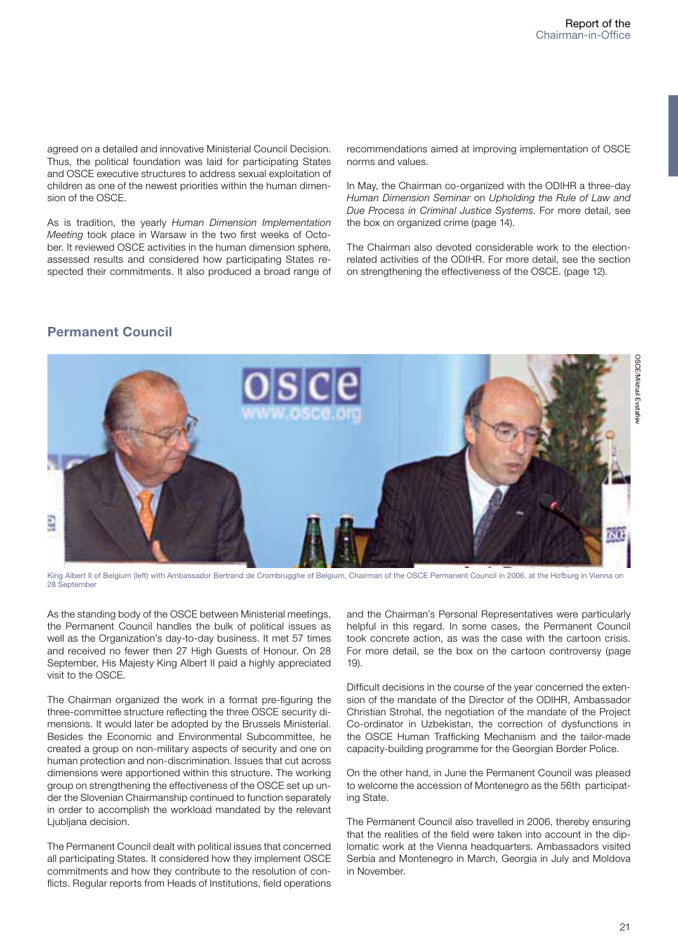agreed on a detailed and innovative Ministerial Council Decision. Thus, the political foundation was laid for participating States and OSCE executive structures to address sexual exploitation of children as one of the newest priorities within the human dimension of the OSCE.

As is tradition, the yearly *Human Dimension Implementation Meeting* took place in Warsaw in the two first weeks of October. It reviewed OSCE activities in the human dimension sphere, assessed results and considered how participating States respected their commitments. It also produced a broad range of

recommendations aimed at improving implementation of OSCE norms and values.

In May, the Chairman co-organized with the ODIHR a three-day *Human Dimension Seminar* on *Upholding the Rule of Law and Due Process in Criminal Justice Systems*. For more detail, see the box on organized crime (page 14).

The Chairman also devoted considerable work to the electionrelated activities of the ODIHR. For more detail, see the section on strengthening the effectiveness of the OSCE. (page 12).

## **Permanent Council**



King Albert II of Belgium (left) with Ambassador Bertrand de Crombrugghe of Belgium, Chairman of the OSCE Permanent Council in 2006, at the Hofburg in Vienna on 28 September

As the standing body of the OSCE between Ministerial meetings, the Permanent Council handles the bulk of political issues as well as the Organization's day-to-day business. It met 57 times and received no fewer then 27 High Guests of Honour. On 28 September, His Majesty King Albert II paid a highly appreciated visit to the OSCE.

The Chairman organized the work in a format pre-figuring the three-committee structure reflecting the three OSCE security dimensions. It would later be adopted by the Brussels Ministerial. Besides the Economic and Environmental Subcommittee, he created a group on non-military aspects of security and one on human protection and non-discrimination. Issues that cut across dimensions were apportioned within this structure. The working group on strengthening the effectiveness of the OSCE set up under the Slovenian Chairmanship continued to function separately in order to accomplish the workload mandated by the relevant Ljubljana decision.

The Permanent Council dealt with political issues that concerned all participating States. It considered how they implement OSCE commitments and how they contribute to the resolution of conflicts. Regular reports from Heads of Institutions, field operations and the Chairman's Personal Representatives were particularly helpful in this regard. In some cases, the Permanent Council took concrete action, as was the case with the cartoon crisis. For more detail, se the box on the cartoon controversy (page 19).

Difficult decisions in the course of the year concerned the extension of the mandate of the Director of the ODIHR, Ambassador Christian Strohal, the negotiation of the mandate of the Project Co-ordinator in Uzbekistan, the correction of dysfunctions in the OSCE Human Trafficking Mechanism and the tailor-made capacity-building programme for the Georgian Border Police.

On the other hand, in June the Permanent Council was pleased to welcome the accession of Montenegro as the 56th participating State.

The Permanent Council also travelled in 2006, thereby ensuring that the realities of the field were taken into account in the diplomatic work at the Vienna headquarters. Ambassadors visited Serbia and Montenegro in March, Georgia in July and Moldova in November.